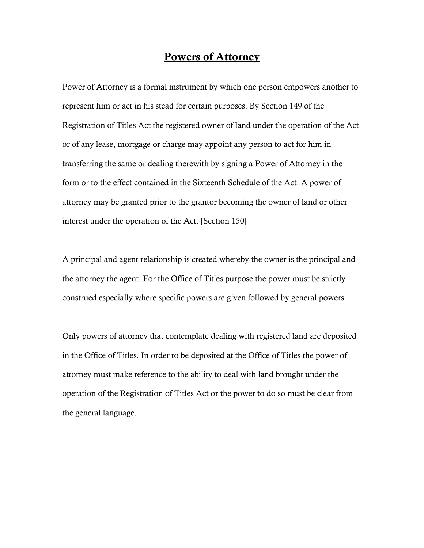# Powers of Attorney

Power of Attorney is a formal instrument by which one person empowers another to represent him or act in his stead for certain purposes. By Section 149 of the Registration of Titles Act the registered owner of land under the operation of the Act or of any lease, mortgage or charge may appoint any person to act for him in transferring the same or dealing therewith by signing a Power of Attorney in the form or to the effect contained in the Sixteenth Schedule of the Act. A power of attorney may be granted prior to the grantor becoming the owner of land or other interest under the operation of the Act. [Section 150]

A principal and agent relationship is created whereby the owner is the principal and the attorney the agent. For the Office of Titles purpose the power must be strictly construed especially where specific powers are given followed by general powers.

Only powers of attorney that contemplate dealing with registered land are deposited in the Office of Titles. In order to be deposited at the Office of Titles the power of attorney must make reference to the ability to deal with land brought under the operation of the Registration of Titles Act or the power to do so must be clear from the general language.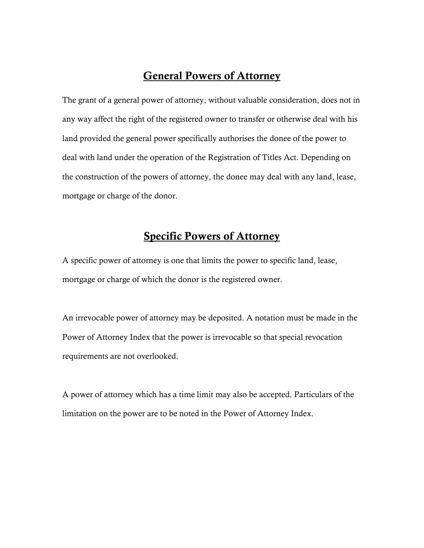# General Powers of Attorney

The grant of a general power of attorney, without valuable consideration, does not in any way affect the right of the registered owner to transfer or otherwise deal with his land provided the general power specifically authorises the donee of the power to deal with land under the operation of the Registration of Titles Act. Depending on the construction of the powers of attorney, the donee may deal with any land, lease, mortgage or charge of the donor.

### Specific Powers of Attorney

A specific power of attorney is one that limits the power to specific land, lease, mortgage or charge of which the donor is the registered owner.

An irrevocable power of attorney may be deposited. A notation must be made in the Power of Attorney Index that the power is irrevocable so that special revocation requirements are not overlooked.

A power of attorney which has a time limit may also be accepted. Particulars of the limitation on the power are to be noted in the Power of Attorney Index.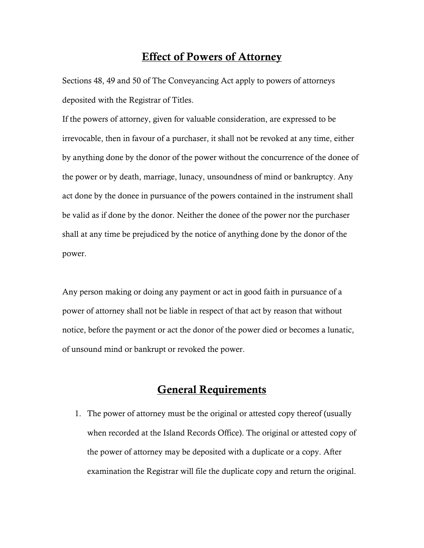# Effect of Powers of Attorney

Sections 48, 49 and 50 of The Conveyancing Act apply to powers of attorneys deposited with the Registrar of Titles.

If the powers of attorney, given for valuable consideration, are expressed to be irrevocable, then in favour of a purchaser, it shall not be revoked at any time, either by anything done by the donor of the power without the concurrence of the donee of the power or by death, marriage, lunacy, unsoundness of mind or bankruptcy. Any act done by the donee in pursuance of the powers contained in the instrument shall be valid as if done by the donor. Neither the donee of the power nor the purchaser shall at any time be prejudiced by the notice of anything done by the donor of the power.

Any person making or doing any payment or act in good faith in pursuance of a power of attorney shall not be liable in respect of that act by reason that without notice, before the payment or act the donor of the power died or becomes a lunatic, of unsound mind or bankrupt or revoked the power.

# General Requirements

1. The power of attorney must be the original or attested copy thereof (usually when recorded at the Island Records Office). The original or attested copy of the power of attorney may be deposited with a duplicate or a copy. After examination the Registrar will file the duplicate copy and return the original.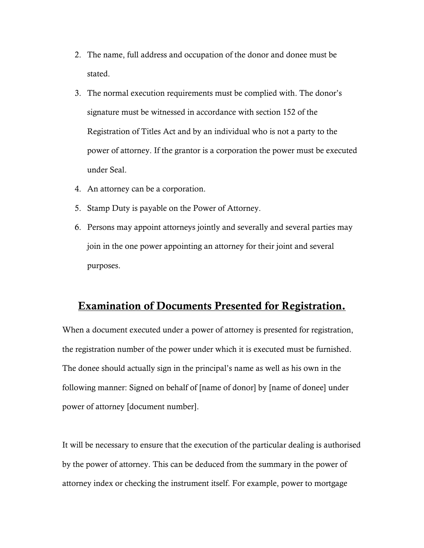- 2. The name, full address and occupation of the donor and donee must be stated.
- 3. The normal execution requirements must be complied with. The donor's signature must be witnessed in accordance with section 152 of the Registration of Titles Act and by an individual who is not a party to the power of attorney. If the grantor is a corporation the power must be executed under Seal.
- 4. An attorney can be a corporation.
- 5. Stamp Duty is payable on the Power of Attorney.
- 6. Persons may appoint attorneys jointly and severally and several parties may join in the one power appointing an attorney for their joint and several purposes.

# Examination of Documents Presented for Registration.

When a document executed under a power of attorney is presented for registration, the registration number of the power under which it is executed must be furnished. The donee should actually sign in the principal's name as well as his own in the following manner: Signed on behalf of [name of donor] by [name of donee] under power of attorney [document number].

It will be necessary to ensure that the execution of the particular dealing is authorised by the power of attorney. This can be deduced from the summary in the power of attorney index or checking the instrument itself. For example, power to mortgage